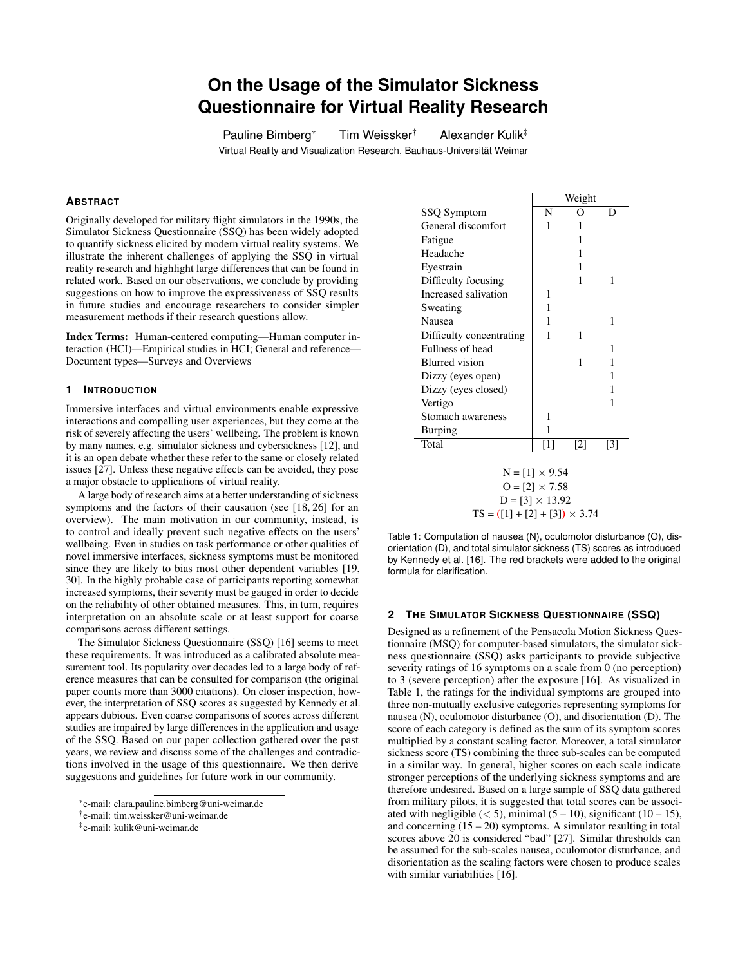# **On the Usage of the Simulator Sickness Questionnaire for Virtual Reality Research**

Pauline Bimberg\* Tim Weissker<sup>†</sup> Alexander Kulik<sup>‡</sup> Virtual Reality and Visualization Research, Bauhaus-Universitat Weimar ¨

## **ABSTRACT**

Originally developed for military flight simulators in the 1990s, the Simulator Sickness Questionnaire (SSQ) has been widely adopted to quantify sickness elicited by modern virtual reality systems. We illustrate the inherent challenges of applying the SSQ in virtual reality research and highlight large differences that can be found in related work. Based on our observations, we conclude by providing suggestions on how to improve the expressiveness of SSQ results in future studies and encourage researchers to consider simpler measurement methods if their research questions allow.

Index Terms: Human-centered computing—Human computer interaction (HCI)—Empirical studies in HCI; General and reference— Document types—Surveys and Overviews

## **1 INTRODUCTION**

Immersive interfaces and virtual environments enable expressive interactions and compelling user experiences, but they come at the risk of severely affecting the users' wellbeing. The problem is known by many names, e.g. simulator sickness and cybersickness [\[12\]](#page-3-0), and it is an open debate whether these refer to the same or closely related issues [\[27\]](#page-3-1). Unless these negative effects can be avoided, they pose a major obstacle to applications of virtual reality.

A large body of research aims at a better understanding of sickness symptoms and the factors of their causation (see [\[18,](#page-3-2) [26\]](#page-3-3) for an overview). The main motivation in our community, instead, is to control and ideally prevent such negative effects on the users' wellbeing. Even in studies on task performance or other qualities of novel immersive interfaces, sickness symptoms must be monitored since they are likely to bias most other dependent variables [\[19,](#page-3-4) [30\]](#page-3-5). In the highly probable case of participants reporting somewhat increased symptoms, their severity must be gauged in order to decide on the reliability of other obtained measures. This, in turn, requires interpretation on an absolute scale or at least support for coarse comparisons across different settings.

The Simulator Sickness Questionnaire (SSQ) [\[16\]](#page-3-6) seems to meet these requirements. It was introduced as a calibrated absolute measurement tool. Its popularity over decades led to a large body of reference measures that can be consulted for comparison (the original paper counts more than 3000 citations). On closer inspection, however, the interpretation of SSQ scores as suggested by Kennedy et al. appears dubious. Even coarse comparisons of scores across different studies are impaired by large differences in the application and usage of the SSQ. Based on our paper collection gathered over the past years, we review and discuss some of the challenges and contradictions involved in the usage of this questionnaire. We then derive suggestions and guidelines for future work in our community.

|                                      | Weight            |                   |     |
|--------------------------------------|-------------------|-------------------|-----|
| SSQ Symptom                          | N                 | Ω                 | D   |
| General discomfort                   | 1                 | 1                 |     |
| Fatigue                              |                   | 1                 |     |
| Headache                             |                   | 1                 |     |
| Eyestrain                            |                   | 1                 |     |
| Difficulty focusing                  |                   | 1                 | 1   |
| Increased salivation                 | 1                 |                   |     |
| Sweating                             | 1                 |                   |     |
| Nausea                               | 1                 |                   | 1   |
| Difficulty concentrating             | 1                 | 1                 |     |
| Fullness of head                     |                   |                   | 1   |
| <b>Blurred</b> vision                |                   | 1                 | 1   |
| Dizzy (eyes open)                    |                   |                   | 1   |
| Dizzy (eyes closed)                  |                   |                   | 1   |
| Vertigo                              |                   |                   | 1   |
| Stomach awareness                    | 1                 |                   |     |
| <b>Burping</b>                       | 1                 |                   |     |
| Total                                | $\lceil 1 \rceil$ | $\lceil 2 \rceil$ | [3] |
|                                      |                   |                   |     |
| $N = [1] \times 9.54$                |                   |                   |     |
| $Q = [2] \times 7.58$                |                   |                   |     |
| $D = [3] \times 13.92$               |                   |                   |     |
| $TS = ([1] + [2] + [3]) \times 3.74$ |                   |                   |     |

<span id="page-0-0"></span>Table 1: Computation of nausea (N), oculomotor disturbance (O), disorientation (D), and total simulator sickness (TS) scores as introduced by Kennedy et al. [\[16\]](#page-3-6). The red brackets were added to the original formula for clarification.

#### **2 THE SIMULATOR SICKNESS QUESTIONNAIRE (SSQ)**

Designed as a refinement of the Pensacola Motion Sickness Questionnaire (MSQ) for computer-based simulators, the simulator sickness questionnaire (SSQ) asks participants to provide subjective severity ratings of 16 symptoms on a scale from 0 (no perception) to 3 (severe perception) after the exposure [\[16\]](#page-3-6). As visualized in Table [1,](#page-0-0) the ratings for the individual symptoms are grouped into three non-mutually exclusive categories representing symptoms for nausea (N), oculomotor disturbance (O), and disorientation (D). The score of each category is defined as the sum of its symptom scores multiplied by a constant scaling factor. Moreover, a total simulator sickness score (TS) combining the three sub-scales can be computed in a similar way. In general, higher scores on each scale indicate stronger perceptions of the underlying sickness symptoms and are therefore undesired. Based on a large sample of SSQ data gathered from military pilots, it is suggested that total scores can be associated with negligible  $(< 5$ ), minimal  $(5 – 10)$ , significant  $(10 – 15)$ , and concerning  $(15 - 20)$  symptoms. A simulator resulting in total scores above 20 is considered "bad" [\[27\]](#page-3-1). Similar thresholds can be assumed for the sub-scales nausea, oculomotor disturbance, and disorientation as the scaling factors were chosen to produce scales with similar variabilities [\[16\]](#page-3-6).

<sup>\*</sup>e-mail: clara.pauline.bimberg@uni-weimar.de

<sup>†</sup> e-mail: tim.weissker@uni-weimar.de

<sup>‡</sup> e-mail: kulik@uni-weimar.de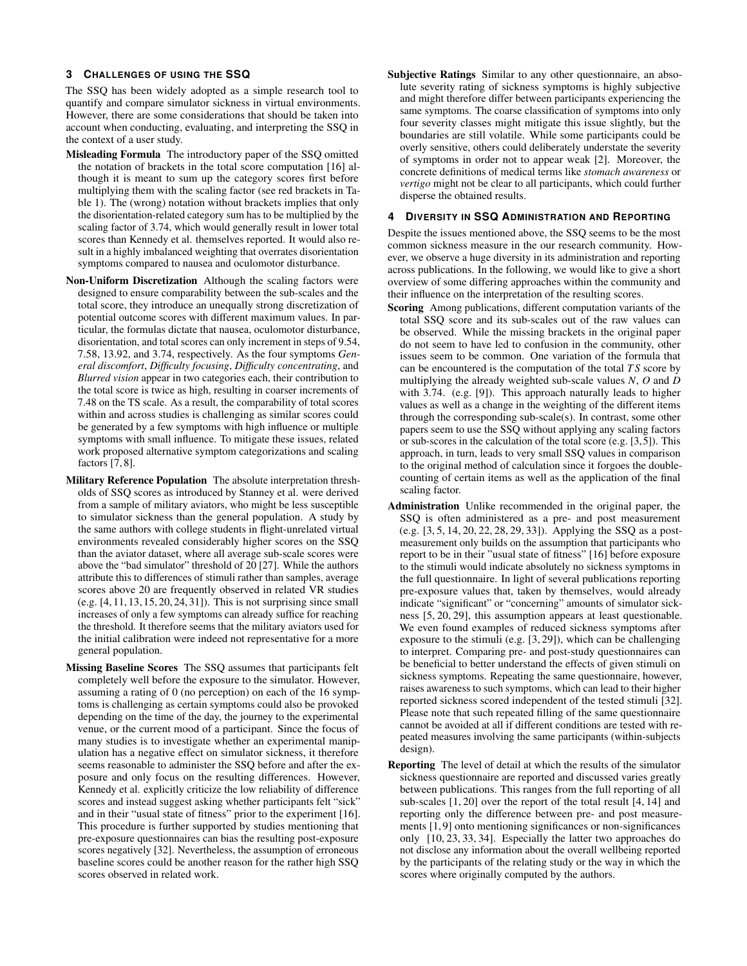#### **3 CHALLENGES OF USING THE SSQ**

The SSQ has been widely adopted as a simple research tool to quantify and compare simulator sickness in virtual environments. However, there are some considerations that should be taken into account when conducting, evaluating, and interpreting the SSQ in the context of a user study.

- Misleading Formula The introductory paper of the SSQ omitted the notation of brackets in the total score computation [\[16\]](#page-3-6) although it is meant to sum up the category scores first before multiplying them with the scaling factor (see red brackets in Table [1\)](#page-0-0). The (wrong) notation without brackets implies that only the disorientation-related category sum has to be multiplied by the scaling factor of 3.74, which would generally result in lower total scores than Kennedy et al. themselves reported. It would also result in a highly imbalanced weighting that overrates disorientation symptoms compared to nausea and oculomotor disturbance.
- Non-Uniform Discretization Although the scaling factors were designed to ensure comparability between the sub-scales and the total score, they introduce an unequally strong discretization of potential outcome scores with different maximum values. In particular, the formulas dictate that nausea, oculomotor disturbance, disorientation, and total scores can only increment in steps of 9.54, 7.58, 13.92, and 3.74, respectively. As the four symptoms *General discomfort*, *Difficulty focusing*, *Difficulty concentrating*, and *Blurred vision* appear in two categories each, their contribution to the total score is twice as high, resulting in coarser increments of 7.48 on the TS scale. As a result, the comparability of total scores within and across studies is challenging as similar scores could be generated by a few symptoms with high influence or multiple symptoms with small influence. To mitigate these issues, related work proposed alternative symptom categorizations and scaling factors [\[7,](#page-2-0) [8\]](#page-2-1).
- Military Reference Population The absolute interpretation thresholds of SSQ scores as introduced by Stanney et al. were derived from a sample of military aviators, who might be less susceptible to simulator sickness than the general population. A study by the same authors with college students in flight-unrelated virtual environments revealed considerably higher scores on the SSQ than the aviator dataset, where all average sub-scale scores were above the "bad simulator" threshold of 20 [\[27\]](#page-3-1). While the authors attribute this to differences of stimuli rather than samples, average scores above 20 are frequently observed in related VR studies (e.g. [\[4,](#page-2-2) [11,](#page-2-3) [13,](#page-3-7) [15,](#page-3-8) [20,](#page-3-9) [24,](#page-3-10) [31\]](#page-3-11)). This is not surprising since small increases of only a few symptoms can already suffice for reaching the threshold. It therefore seems that the military aviators used for the initial calibration were indeed not representative for a more general population.
- Missing Baseline Scores The SSQ assumes that participants felt completely well before the exposure to the simulator. However, assuming a rating of 0 (no perception) on each of the 16 symptoms is challenging as certain symptoms could also be provoked depending on the time of the day, the journey to the experimental venue, or the current mood of a participant. Since the focus of many studies is to investigate whether an experimental manipulation has a negative effect on simulator sickness, it therefore seems reasonable to administer the SSQ before and after the exposure and only focus on the resulting differences. However, Kennedy et al. explicitly criticize the low reliability of difference scores and instead suggest asking whether participants felt "sick" and in their "usual state of fitness" prior to the experiment [\[16\]](#page-3-6). This procedure is further supported by studies mentioning that pre-exposure questionnaires can bias the resulting post-exposure scores negatively [\[32\]](#page-3-12). Nevertheless, the assumption of erroneous baseline scores could be another reason for the rather high SSQ scores observed in related work.

Subjective Ratings Similar to any other questionnaire, an absolute severity rating of sickness symptoms is highly subjective and might therefore differ between participants experiencing the same symptoms. The coarse classification of symptoms into only four severity classes might mitigate this issue slightly, but the boundaries are still volatile. While some participants could be overly sensitive, others could deliberately understate the severity of symptoms in order not to appear weak [\[2\]](#page-2-4). Moreover, the concrete definitions of medical terms like *stomach awareness* or *vertigo* might not be clear to all participants, which could further disperse the obtained results.

# **4 DIVERSITY IN SSQ ADMINISTRATION AND REPORTING**

Despite the issues mentioned above, the SSQ seems to be the most common sickness measure in the our research community. However, we observe a huge diversity in its administration and reporting across publications. In the following, we would like to give a short overview of some differing approaches within the community and their influence on the interpretation of the resulting scores.

- Scoring Among publications, different computation variants of the total SSQ score and its sub-scales out of the raw values can be observed. While the missing brackets in the original paper do not seem to have led to confusion in the community, other issues seem to be common. One variation of the formula that can be encountered is the computation of the total *T S* score by multiplying the already weighted sub-scale values *N*, *O* and *D* with 3.74. (e.g. [\[9\]](#page-2-5)). This approach naturally leads to higher values as well as a change in the weighting of the different items through the corresponding sub-scale(s). In contrast, some other papers seem to use the SSQ without applying any scaling factors or sub-scores in the calculation of the total score (e.g. [\[3,](#page-2-6)[5\]](#page-2-7)). This approach, in turn, leads to very small SSQ values in comparison to the original method of calculation since it forgoes the doublecounting of certain items as well as the application of the final scaling factor.
- Administration Unlike recommended in the original paper, the SSQ is often administered as a pre- and post measurement (e.g. [\[3,](#page-2-6) [5,](#page-2-7) [14,](#page-3-13) [20,](#page-3-9) [22,](#page-3-14) [28,](#page-3-15) [29,](#page-3-16) [33\]](#page-3-17)). Applying the SSQ as a postmeasurement only builds on the assumption that participants who report to be in their "usual state of fitness" [\[16\]](#page-3-6) before exposure to the stimuli would indicate absolutely no sickness symptoms in the full questionnaire. In light of several publications reporting pre-exposure values that, taken by themselves, would already indicate "significant" or "concerning" amounts of simulator sickness [\[5,](#page-2-7) [20,](#page-3-9) [29\]](#page-3-16), this assumption appears at least questionable. We even found examples of reduced sickness symptoms after exposure to the stimuli (e.g. [\[3,](#page-2-6) [29\]](#page-3-16)), which can be challenging to interpret. Comparing pre- and post-study questionnaires can be beneficial to better understand the effects of given stimuli on sickness symptoms. Repeating the same questionnaire, however, raises awareness to such symptoms, which can lead to their higher reported sickness scored independent of the tested stimuli [\[32\]](#page-3-12). Please note that such repeated filling of the same questionnaire cannot be avoided at all if different conditions are tested with repeated measures involving the same participants (within-subjects design).
- Reporting The level of detail at which the results of the simulator sickness questionnaire are reported and discussed varies greatly between publications. This ranges from the full reporting of all sub-scales [\[1,](#page-2-8) [20\]](#page-3-9) over the report of the total result [\[4,](#page-2-2) [14\]](#page-3-13) and reporting only the difference between pre- and post measurements [\[1,](#page-2-8) [9\]](#page-2-5) onto mentioning significances or non-significances only [\[10,](#page-2-9) [23,](#page-3-18) [33,](#page-3-17) [34\]](#page-3-19). Especially the latter two approaches do not disclose any information about the overall wellbeing reported by the participants of the relating study or the way in which the scores where originally computed by the authors.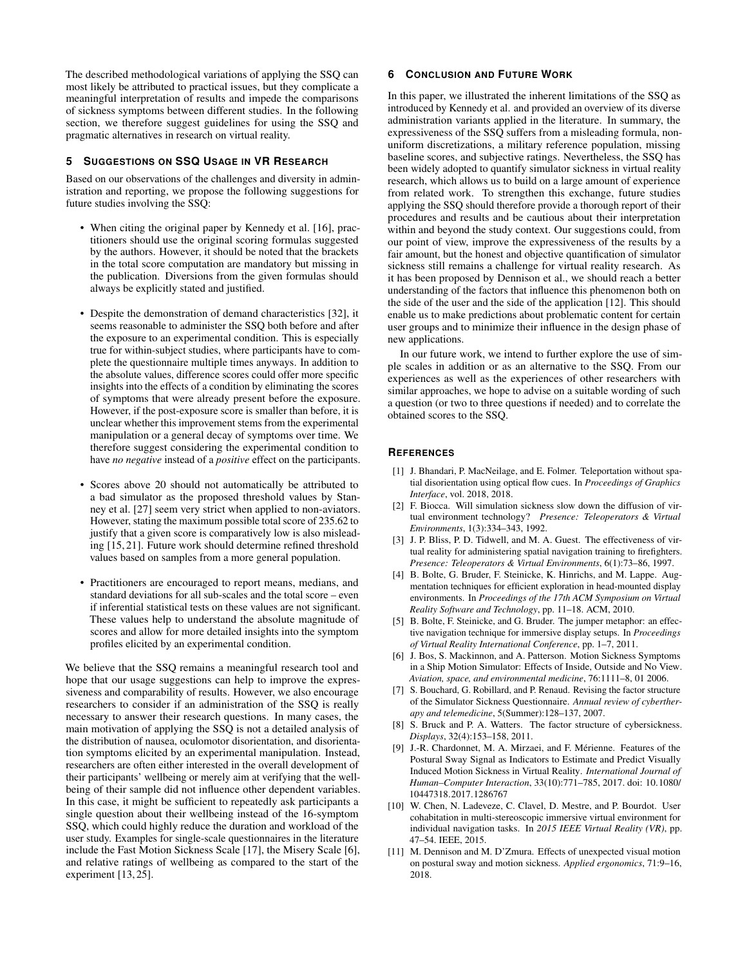The described methodological variations of applying the SSQ can most likely be attributed to practical issues, but they complicate a meaningful interpretation of results and impede the comparisons of sickness symptoms between different studies. In the following section, we therefore suggest guidelines for using the SSQ and pragmatic alternatives in research on virtual reality.

## **5 SUGGESTIONS ON SSQ USAGE IN VR RESEARCH**

Based on our observations of the challenges and diversity in administration and reporting, we propose the following suggestions for future studies involving the SSQ:

- When citing the original paper by Kennedy et al. [\[16\]](#page-3-6), practitioners should use the original scoring formulas suggested by the authors. However, it should be noted that the brackets in the total score computation are mandatory but missing in the publication. Diversions from the given formulas should always be explicitly stated and justified.
- Despite the demonstration of demand characteristics [\[32\]](#page-3-12), it seems reasonable to administer the SSQ both before and after the exposure to an experimental condition. This is especially true for within-subject studies, where participants have to complete the questionnaire multiple times anyways. In addition to the absolute values, difference scores could offer more specific insights into the effects of a condition by eliminating the scores of symptoms that were already present before the exposure. However, if the post-exposure score is smaller than before, it is unclear whether this improvement stems from the experimental manipulation or a general decay of symptoms over time. We therefore suggest considering the experimental condition to have *no negative* instead of a *positive* effect on the participants.
- Scores above 20 should not automatically be attributed to a bad simulator as the proposed threshold values by Stanney et al. [\[27\]](#page-3-1) seem very strict when applied to non-aviators. However, stating the maximum possible total score of 235.62 to justify that a given score is comparatively low is also misleading [\[15,](#page-3-8) [21\]](#page-3-20). Future work should determine refined threshold values based on samples from a more general population.
- Practitioners are encouraged to report means, medians, and standard deviations for all sub-scales and the total score – even if inferential statistical tests on these values are not significant. These values help to understand the absolute magnitude of scores and allow for more detailed insights into the symptom profiles elicited by an experimental condition.

We believe that the SSQ remains a meaningful research tool and hope that our usage suggestions can help to improve the expressiveness and comparability of results. However, we also encourage researchers to consider if an administration of the SSQ is really necessary to answer their research questions. In many cases, the main motivation of applying the SSQ is not a detailed analysis of the distribution of nausea, oculomotor disorientation, and disorientation symptoms elicited by an experimental manipulation. Instead, researchers are often either interested in the overall development of their participants' wellbeing or merely aim at verifying that the wellbeing of their sample did not influence other dependent variables. In this case, it might be sufficient to repeatedly ask participants a single question about their wellbeing instead of the 16-symptom SSQ, which could highly reduce the duration and workload of the user study. Examples for single-scale questionnaires in the literature include the Fast Motion Sickness Scale [\[17\]](#page-3-21), the Misery Scale [\[6\]](#page-2-10), and relative ratings of wellbeing as compared to the start of the experiment [\[13,](#page-3-7) [25\]](#page-3-22).

### **6 CONCLUSION AND FUTURE WORK**

In this paper, we illustrated the inherent limitations of the SSQ as introduced by Kennedy et al. and provided an overview of its diverse administration variants applied in the literature. In summary, the expressiveness of the SSQ suffers from a misleading formula, nonuniform discretizations, a military reference population, missing baseline scores, and subjective ratings. Nevertheless, the SSQ has been widely adopted to quantify simulator sickness in virtual reality research, which allows us to build on a large amount of experience from related work. To strengthen this exchange, future studies applying the SSQ should therefore provide a thorough report of their procedures and results and be cautious about their interpretation within and beyond the study context. Our suggestions could, from our point of view, improve the expressiveness of the results by a fair amount, but the honest and objective quantification of simulator sickness still remains a challenge for virtual reality research. As it has been proposed by Dennison et al., we should reach a better understanding of the factors that influence this phenomenon both on the side of the user and the side of the application [\[12\]](#page-3-0). This should enable us to make predictions about problematic content for certain user groups and to minimize their influence in the design phase of new applications.

In our future work, we intend to further explore the use of simple scales in addition or as an alternative to the SSQ. From our experiences as well as the experiences of other researchers with similar approaches, we hope to advise on a suitable wording of such a question (or two to three questions if needed) and to correlate the obtained scores to the SSQ.

#### **REFERENCES**

- <span id="page-2-8"></span>[1] J. Bhandari, P. MacNeilage, and E. Folmer. Teleportation without spatial disorientation using optical flow cues. In *Proceedings of Graphics Interface*, vol. 2018, 2018.
- <span id="page-2-4"></span>[2] F. Biocca. Will simulation sickness slow down the diffusion of virtual environment technology? *Presence: Teleoperators & Virtual Environments*, 1(3):334–343, 1992.
- <span id="page-2-6"></span>[3] J. P. Bliss, P. D. Tidwell, and M. A. Guest. The effectiveness of virtual reality for administering spatial navigation training to firefighters. *Presence: Teleoperators & Virtual Environments*, 6(1):73–86, 1997.
- <span id="page-2-2"></span>[4] B. Bolte, G. Bruder, F. Steinicke, K. Hinrichs, and M. Lappe. Augmentation techniques for efficient exploration in head-mounted display environments. In *Proceedings of the 17th ACM Symposium on Virtual Reality Software and Technology*, pp. 11–18. ACM, 2010.
- <span id="page-2-7"></span>[5] B. Bolte, F. Steinicke, and G. Bruder. The jumper metaphor: an effective navigation technique for immersive display setups. In *Proceedings of Virtual Reality International Conference*, pp. 1–7, 2011.
- <span id="page-2-10"></span>[6] J. Bos, S. Mackinnon, and A. Patterson. Motion Sickness Symptoms in a Ship Motion Simulator: Effects of Inside, Outside and No View. *Aviation, space, and environmental medicine*, 76:1111–8, 01 2006.
- <span id="page-2-0"></span>[7] S. Bouchard, G. Robillard, and P. Renaud. Revising the factor structure of the Simulator Sickness Questionnaire. *Annual review of cybertherapy and telemedicine*, 5(Summer):128–137, 2007.
- <span id="page-2-1"></span>[8] S. Bruck and P. A. Watters. The factor structure of cybersickness. *Displays*, 32(4):153–158, 2011.
- <span id="page-2-5"></span>[9] J.-R. Chardonnet, M. A. Mirzaei, and F. Mérienne. Features of the Postural Sway Signal as Indicators to Estimate and Predict Visually Induced Motion Sickness in Virtual Reality. *International Journal of Human–Computer Interaction*, 33(10):771–785, 2017. doi: 10.1080/ 10447318.2017.1286767
- <span id="page-2-9"></span>[10] W. Chen, N. Ladeveze, C. Clavel, D. Mestre, and P. Bourdot. User cohabitation in multi-stereoscopic immersive virtual environment for individual navigation tasks. In *2015 IEEE Virtual Reality (VR)*, pp. 47–54. IEEE, 2015.
- <span id="page-2-3"></span>[11] M. Dennison and M. D'Zmura. Effects of unexpected visual motion on postural sway and motion sickness. *Applied ergonomics*, 71:9–16, 2018.